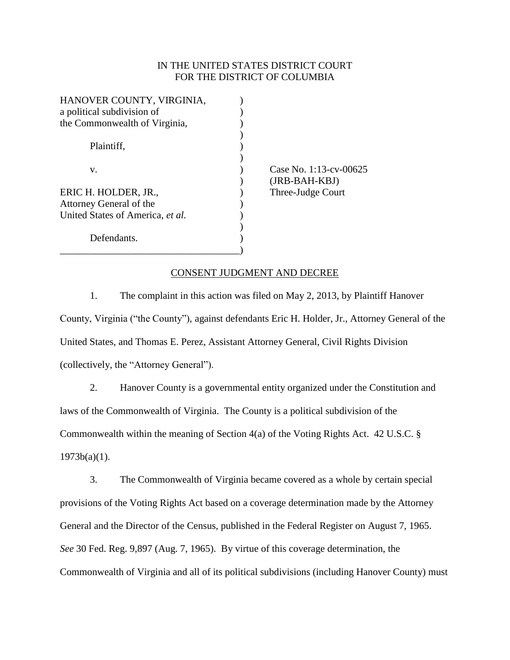# IN THE UNITED STATES DISTRICT COURT FOR THE DISTRICT OF COLUMBIA

| HANOVER COUNTY, VIRGINIA,        |    |
|----------------------------------|----|
| a political subdivision of       |    |
| the Commonwealth of Virginia,    |    |
|                                  |    |
| Plaintiff.                       |    |
|                                  |    |
| v.                               | 22 |
|                                  |    |
| ERIC H. HOLDER, JR.,             | Гł |
| Attorney General of the          |    |
| United States of America, et al. |    |
|                                  |    |
| Defendants.                      |    |
|                                  |    |

ase No.  $1:13$ -cv-00625 ) (JRB-BAH-KBJ) nree-Judge Court

### CONSENT JUDGMENT AND DECREE

1. The complaint in this action was filed on May 2, 2013, by Plaintiff Hanover County, Virginia ("the County"), against defendants Eric H. Holder, Jr., Attorney General of the United States, and Thomas E. Perez, Assistant Attorney General, Civil Rights Division (collectively, the "Attorney General").

2. Hanover County is a governmental entity organized under the Constitution and laws of the Commonwealth of Virginia. The County is a political subdivision of the Commonwealth within the meaning of Section 4(a) of the Voting Rights Act. 42 U.S.C. §  $1973b(a)(1)$ .

3. The Commonwealth of Virginia became covered as a whole by certain special provisions of the Voting Rights Act based on a coverage determination made by the Attorney General and the Director of the Census, published in the Federal Register on August 7, 1965. *See* 30 Fed. Reg. 9,897 (Aug. 7, 1965). By virtue of this coverage determination, the Commonwealth of Virginia and all of its political subdivisions (including Hanover County) must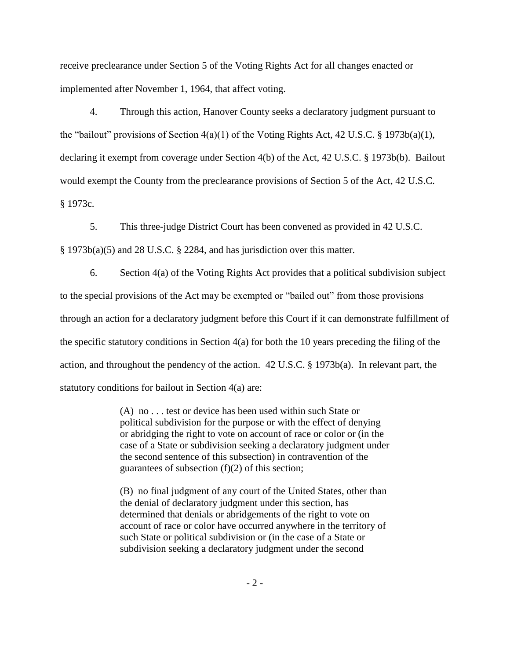receive preclearance under Section 5 of the Voting Rights Act for all changes enacted or implemented after November 1, 1964, that affect voting.

4. Through this action, Hanover County seeks a declaratory judgment pursuant to the "bailout" provisions of Section 4(a)(1) of the Voting Rights Act, 42 U.S.C. § 1973b(a)(1), declaring it exempt from coverage under Section 4(b) of the Act, 42 U.S.C. § 1973b(b). Bailout would exempt the County from the preclearance provisions of Section 5 of the Act, 42 U.S.C. § 1973c.

5. This three-judge District Court has been convened as provided in 42 U.S.C. § 1973b(a)(5) and 28 U.S.C. § 2284, and has jurisdiction over this matter.

6. Section 4(a) of the Voting Rights Act provides that a political subdivision subject to the special provisions of the Act may be exempted or "bailed out" from those provisions through an action for a declaratory judgment before this Court if it can demonstrate fulfillment of the specific statutory conditions in Section 4(a) for both the 10 years preceding the filing of the action, and throughout the pendency of the action. 42 U.S.C. § 1973b(a). In relevant part, the statutory conditions for bailout in Section 4(a) are:

> (A) no . . . test or device has been used within such State or political subdivision for the purpose or with the effect of denying or abridging the right to vote on account of race or color or (in the case of a State or subdivision seeking a declaratory judgment under the second sentence of this subsection) in contravention of the guarantees of subsection (f)(2) of this section;

> (B) no final judgment of any court of the United States, other than the denial of declaratory judgment under this section, has determined that denials or abridgements of the right to vote on account of race or color have occurred anywhere in the territory of such State or political subdivision or (in the case of a State or subdivision seeking a declaratory judgment under the second

> > - 2 -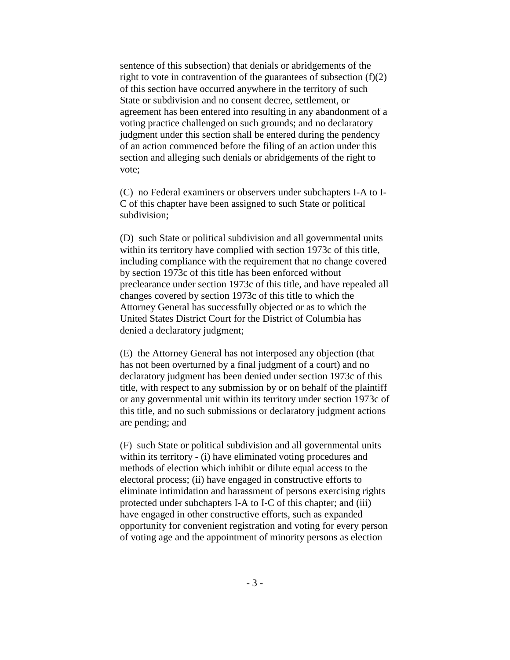sentence of this subsection) that denials or abridgements of the right to vote in contravention of the guarantees of subsection (f)(2) of this section have occurred anywhere in the territory of such State or subdivision and no consent decree, settlement, or agreement has been entered into resulting in any abandonment of a voting practice challenged on such grounds; and no declaratory judgment under this section shall be entered during the pendency of an action commenced before the filing of an action under this section and alleging such denials or abridgements of the right to vote;

(C) no Federal examiners or observers under subchapters I-A to I-C of this chapter have been assigned to such State or political subdivision;

(D) such State or political subdivision and all governmental units within its territory have complied with section 1973c of this title, including compliance with the requirement that no change covered by section 1973c of this title has been enforced without preclearance under section 1973c of this title, and have repealed all changes covered by section 1973c of this title to which the Attorney General has successfully objected or as to which the United States District Court for the District of Columbia has denied a declaratory judgment;

(E) the Attorney General has not interposed any objection (that has not been overturned by a final judgment of a court) and no declaratory judgment has been denied under section 1973c of this title, with respect to any submission by or on behalf of the plaintiff or any governmental unit within its territory under section 1973c of this title, and no such submissions or declaratory judgment actions are pending; and

(F) such State or political subdivision and all governmental units within its territory - (i) have eliminated voting procedures and methods of election which inhibit or dilute equal access to the electoral process; (ii) have engaged in constructive efforts to eliminate intimidation and harassment of persons exercising rights protected under subchapters I-A to I-C of this chapter; and (iii) have engaged in other constructive efforts, such as expanded opportunity for convenient registration and voting for every person of voting age and the appointment of minority persons as election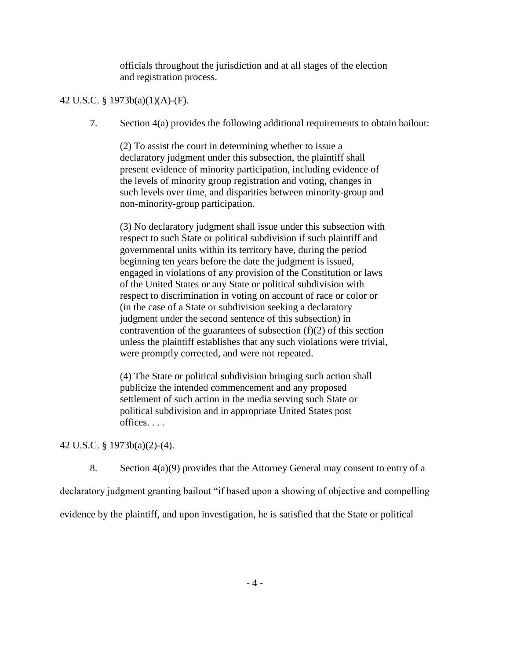officials throughout the jurisdiction and at all stages of the election and registration process.

# 42 U.S.C. § 1973b(a)(1)(A)-(F).

7. Section 4(a) provides the following additional requirements to obtain bailout:

(2) To assist the court in determining whether to issue a declaratory judgment under this subsection, the plaintiff shall present evidence of minority participation, including evidence of the levels of minority group registration and voting, changes in such levels over time, and disparities between minority-group and non-minority-group participation.

(3) No declaratory judgment shall issue under this subsection with respect to such State or political subdivision if such plaintiff and governmental units within its territory have, during the period beginning ten years before the date the judgment is issued, engaged in violations of any provision of the Constitution or laws of the United States or any State or political subdivision with respect to discrimination in voting on account of race or color or (in the case of a State or subdivision seeking a declaratory judgment under the second sentence of this subsection) in contravention of the guarantees of subsection  $(f)(2)$  of this section unless the plaintiff establishes that any such violations were trivial, were promptly corrected, and were not repeated.

(4) The State or political subdivision bringing such action shall publicize the intended commencement and any proposed settlement of such action in the media serving such State or political subdivision and in appropriate United States post offices. . . .

42 U.S.C. § 1973b(a)(2)-(4).

8. Section 4(a)(9) provides that the Attorney General may consent to entry of a

declaratory judgment granting bailout "if based upon a showing of objective and compelling

evidence by the plaintiff, and upon investigation, he is satisfied that the State or political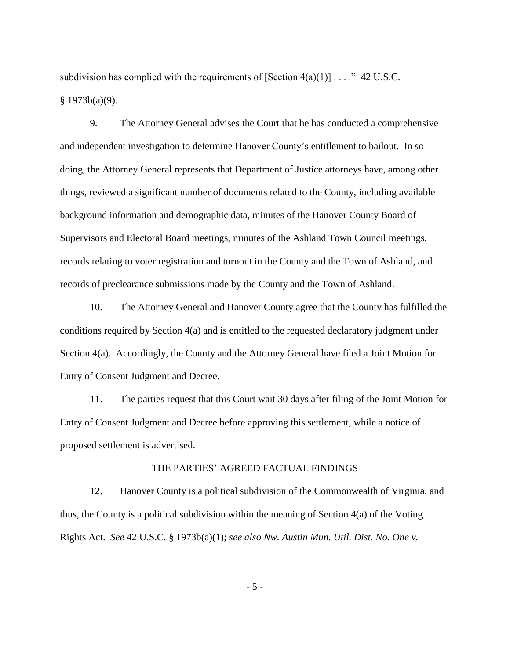subdivision has complied with the requirements of  $[Section 4(a)(1)] \dots$ ." 42 U.S.C.  $§ 1973b(a)(9).$ 

9. The Attorney General advises the Court that he has conducted a comprehensive and independent investigation to determine Hanover County's entitlement to bailout. In so doing, the Attorney General represents that Department of Justice attorneys have, among other things, reviewed a significant number of documents related to the County, including available background information and demographic data, minutes of the Hanover County Board of Supervisors and Electoral Board meetings, minutes of the Ashland Town Council meetings, records relating to voter registration and turnout in the County and the Town of Ashland, and records of preclearance submissions made by the County and the Town of Ashland.

10. The Attorney General and Hanover County agree that the County has fulfilled the conditions required by Section 4(a) and is entitled to the requested declaratory judgment under Section 4(a). Accordingly, the County and the Attorney General have filed a Joint Motion for Entry of Consent Judgment and Decree.

11. The parties request that this Court wait 30 days after filing of the Joint Motion for Entry of Consent Judgment and Decree before approving this settlement, while a notice of proposed settlement is advertised.

#### THE PARTIES' AGREED FACTUAL FINDINGS

12. Hanover County is a political subdivision of the Commonwealth of Virginia, and thus, the County is a political subdivision within the meaning of Section 4(a) of the Voting Rights Act. *See* 42 U.S.C. § 1973b(a)(1); *see also Nw. Austin Mun. Util. Dist. No. One v.*

- 5 -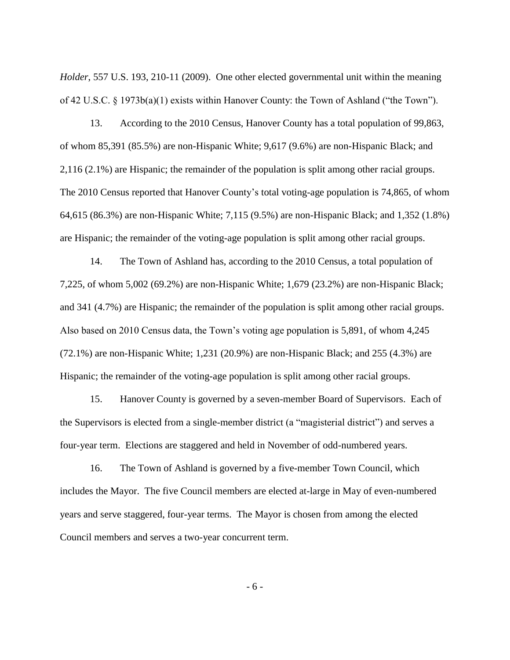*Holder*, 557 U.S. 193, 210-11 (2009). One other elected governmental unit within the meaning of 42 U.S.C. § 1973b(a)(1) exists within Hanover County: the Town of Ashland ("the Town").

13. According to the 2010 Census, Hanover County has a total population of 99,863, of whom 85,391 (85.5%) are non-Hispanic White; 9,617 (9.6%) are non-Hispanic Black; and 2,116 (2.1%) are Hispanic; the remainder of the population is split among other racial groups. The 2010 Census reported that Hanover County's total voting-age population is 74,865, of whom 64,615 (86.3%) are non-Hispanic White; 7,115 (9.5%) are non-Hispanic Black; and 1,352 (1.8%) are Hispanic; the remainder of the voting-age population is split among other racial groups.

14. The Town of Ashland has, according to the 2010 Census, a total population of 7,225, of whom 5,002 (69.2%) are non-Hispanic White; 1,679 (23.2%) are non-Hispanic Black; and 341 (4.7%) are Hispanic; the remainder of the population is split among other racial groups. Also based on 2010 Census data, the Town's voting age population is 5,891, of whom 4,245 (72.1%) are non-Hispanic White; 1,231 (20.9%) are non-Hispanic Black; and 255 (4.3%) are Hispanic; the remainder of the voting-age population is split among other racial groups.

15. Hanover County is governed by a seven-member Board of Supervisors. Each of the Supervisors is elected from a single-member district (a "magisterial district") and serves a four-year term. Elections are staggered and held in November of odd-numbered years.

16. The Town of Ashland is governed by a five-member Town Council, which includes the Mayor. The five Council members are elected at-large in May of even-numbered years and serve staggered, four-year terms. The Mayor is chosen from among the elected Council members and serves a two-year concurrent term.

- 6 -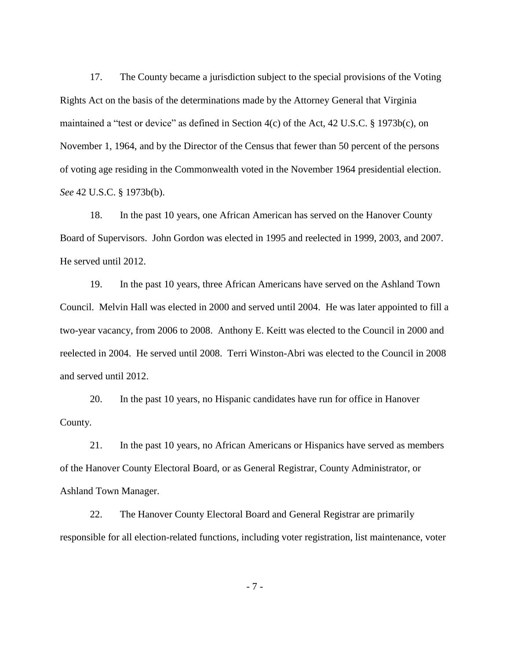17. The County became a jurisdiction subject to the special provisions of the Voting Rights Act on the basis of the determinations made by the Attorney General that Virginia maintained a "test or device" as defined in Section 4(c) of the Act, 42 U.S.C. § 1973b(c), on November 1, 1964, and by the Director of the Census that fewer than 50 percent of the persons of voting age residing in the Commonwealth voted in the November 1964 presidential election. *See* 42 U.S.C. § 1973b(b).

18. In the past 10 years, one African American has served on the Hanover County Board of Supervisors. John Gordon was elected in 1995 and reelected in 1999, 2003, and 2007. He served until 2012.

19. In the past 10 years, three African Americans have served on the Ashland Town Council. Melvin Hall was elected in 2000 and served until 2004. He was later appointed to fill a two-year vacancy, from 2006 to 2008. Anthony E. Keitt was elected to the Council in 2000 and reelected in 2004. He served until 2008. Terri Winston-Abri was elected to the Council in 2008 and served until 2012.

20. In the past 10 years, no Hispanic candidates have run for office in Hanover County.

21. In the past 10 years, no African Americans or Hispanics have served as members of the Hanover County Electoral Board, or as General Registrar, County Administrator, or Ashland Town Manager.

22. The Hanover County Electoral Board and General Registrar are primarily responsible for all election-related functions, including voter registration, list maintenance, voter

- 7 -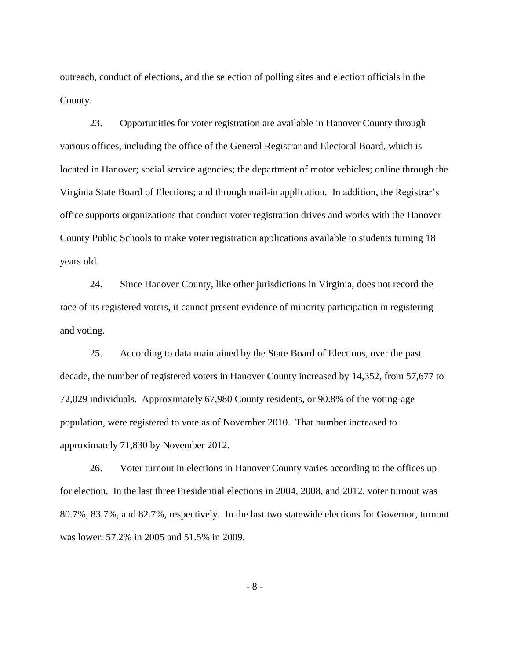outreach, conduct of elections, and the selection of polling sites and election officials in the County.

23. Opportunities for voter registration are available in Hanover County through various offices, including the office of the General Registrar and Electoral Board, which is located in Hanover; social service agencies; the department of motor vehicles; online through the Virginia State Board of Elections; and through mail-in application. In addition, the Registrar's office supports organizations that conduct voter registration drives and works with the Hanover County Public Schools to make voter registration applications available to students turning 18 years old.

24. Since Hanover County, like other jurisdictions in Virginia, does not record the race of its registered voters, it cannot present evidence of minority participation in registering and voting.

25. According to data maintained by the State Board of Elections, over the past decade, the number of registered voters in Hanover County increased by 14,352, from 57,677 to 72,029 individuals. Approximately 67,980 County residents, or 90.8% of the voting-age population, were registered to vote as of November 2010. That number increased to approximately 71,830 by November 2012.

26. Voter turnout in elections in Hanover County varies according to the offices up for election. In the last three Presidential elections in 2004, 2008, and 2012, voter turnout was 80.7%, 83.7%, and 82.7%, respectively. In the last two statewide elections for Governor, turnout was lower: 57.2% in 2005 and 51.5% in 2009.

- 8 -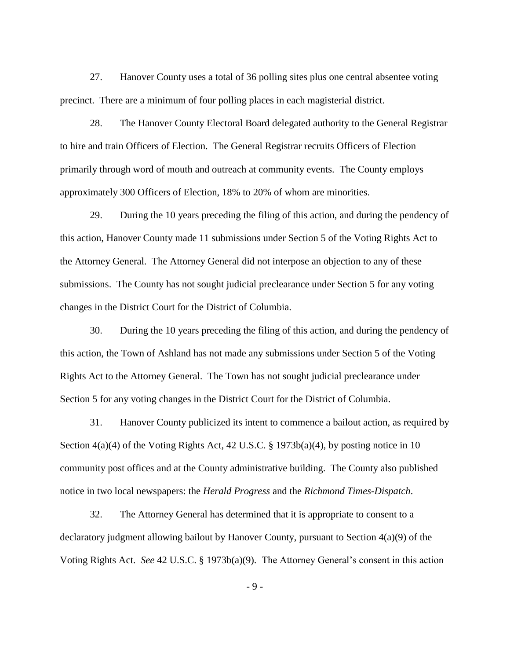27. Hanover County uses a total of 36 polling sites plus one central absentee voting precinct. There are a minimum of four polling places in each magisterial district.

28. The Hanover County Electoral Board delegated authority to the General Registrar to hire and train Officers of Election. The General Registrar recruits Officers of Election primarily through word of mouth and outreach at community events. The County employs approximately 300 Officers of Election, 18% to 20% of whom are minorities.

29. During the 10 years preceding the filing of this action, and during the pendency of this action, Hanover County made 11 submissions under Section 5 of the Voting Rights Act to the Attorney General. The Attorney General did not interpose an objection to any of these submissions. The County has not sought judicial preclearance under Section 5 for any voting changes in the District Court for the District of Columbia.

30. During the 10 years preceding the filing of this action, and during the pendency of this action, the Town of Ashland has not made any submissions under Section 5 of the Voting Rights Act to the Attorney General. The Town has not sought judicial preclearance under Section 5 for any voting changes in the District Court for the District of Columbia.

31. Hanover County publicized its intent to commence a bailout action, as required by Section 4(a)(4) of the Voting Rights Act, 42 U.S.C. § 1973b(a)(4), by posting notice in 10 community post offices and at the County administrative building. The County also published notice in two local newspapers: the *Herald Progress* and the *Richmond Times-Dispatch*.

32. The Attorney General has determined that it is appropriate to consent to a declaratory judgment allowing bailout by Hanover County, pursuant to Section 4(a)(9) of the Voting Rights Act. *See* 42 U.S.C. § 1973b(a)(9). The Attorney General's consent in this action

- 9 -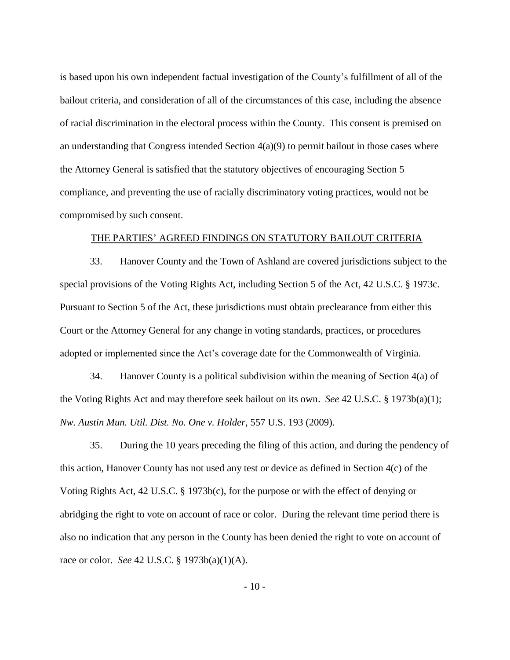is based upon his own independent factual investigation of the County's fulfillment of all of the bailout criteria, and consideration of all of the circumstances of this case, including the absence of racial discrimination in the electoral process within the County. This consent is premised on an understanding that Congress intended Section  $4(a)(9)$  to permit bailout in those cases where the Attorney General is satisfied that the statutory objectives of encouraging Section 5 compliance, and preventing the use of racially discriminatory voting practices, would not be compromised by such consent.

#### THE PARTIES' AGREED FINDINGS ON STATUTORY BAILOUT CRITERIA

33. Hanover County and the Town of Ashland are covered jurisdictions subject to the special provisions of the Voting Rights Act, including Section 5 of the Act, 42 U.S.C. § 1973c. Pursuant to Section 5 of the Act, these jurisdictions must obtain preclearance from either this Court or the Attorney General for any change in voting standards, practices, or procedures adopted or implemented since the Act's coverage date for the Commonwealth of Virginia.

34. Hanover County is a political subdivision within the meaning of Section  $4(a)$  of the Voting Rights Act and may therefore seek bailout on its own. *See* 42 U.S.C. § 1973b(a)(1); *Nw. Austin Mun. Util. Dist. No. One v. Holder*, 557 U.S. 193 (2009).

35. During the 10 years preceding the filing of this action, and during the pendency of this action, Hanover County has not used any test or device as defined in Section 4(c) of the Voting Rights Act, 42 U.S.C. § 1973b(c), for the purpose or with the effect of denying or abridging the right to vote on account of race or color. During the relevant time period there is also no indication that any person in the County has been denied the right to vote on account of race or color. *See* 42 U.S.C. § 1973b(a)(1)(A).

- 10 -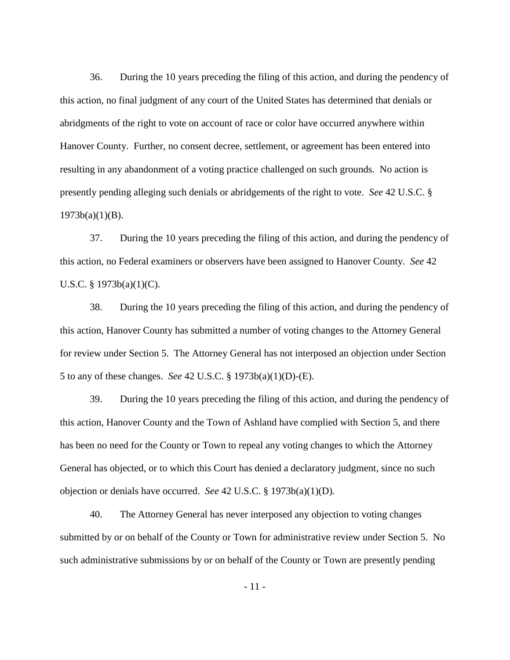36. During the 10 years preceding the filing of this action, and during the pendency of this action, no final judgment of any court of the United States has determined that denials or abridgments of the right to vote on account of race or color have occurred anywhere within Hanover County. Further, no consent decree, settlement, or agreement has been entered into resulting in any abandonment of a voting practice challenged on such grounds. No action is presently pending alleging such denials or abridgements of the right to vote. *See* 42 U.S.C. §  $1973b(a)(1)(B)$ .

37. During the 10 years preceding the filing of this action, and during the pendency of this action, no Federal examiners or observers have been assigned to Hanover County. *See* 42 U.S.C. § 1973b(a)(1)(C).

38. During the 10 years preceding the filing of this action, and during the pendency of this action, Hanover County has submitted a number of voting changes to the Attorney General for review under Section 5. The Attorney General has not interposed an objection under Section 5 to any of these changes. *See* 42 U.S.C. § 1973b(a)(1)(D)-(E).

39. During the 10 years preceding the filing of this action, and during the pendency of this action, Hanover County and the Town of Ashland have complied with Section 5, and there has been no need for the County or Town to repeal any voting changes to which the Attorney General has objected, or to which this Court has denied a declaratory judgment, since no such objection or denials have occurred. *See* 42 U.S.C. § 1973b(a)(1)(D).

40. The Attorney General has never interposed any objection to voting changes submitted by or on behalf of the County or Town for administrative review under Section 5. No such administrative submissions by or on behalf of the County or Town are presently pending

- 11 -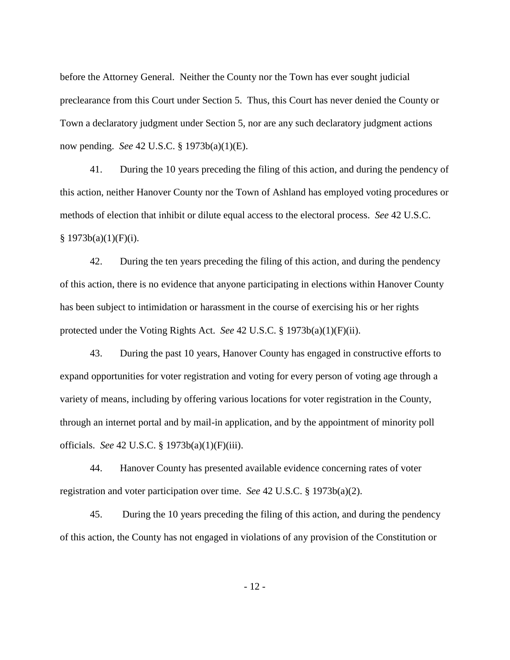before the Attorney General. Neither the County nor the Town has ever sought judicial preclearance from this Court under Section 5. Thus, this Court has never denied the County or Town a declaratory judgment under Section 5, nor are any such declaratory judgment actions now pending. *See* 42 U.S.C. § 1973b(a)(1)(E).

41. During the 10 years preceding the filing of this action, and during the pendency of this action, neither Hanover County nor the Town of Ashland has employed voting procedures or methods of election that inhibit or dilute equal access to the electoral process. *See* 42 U.S.C.  $§ 1973b(a)(1)(F)(i).$ 

42. During the ten years preceding the filing of this action, and during the pendency of this action, there is no evidence that anyone participating in elections within Hanover County has been subject to intimidation or harassment in the course of exercising his or her rights protected under the Voting Rights Act. *See* 42 U.S.C. § 1973b(a)(1)(F)(ii).

43. During the past 10 years, Hanover County has engaged in constructive efforts to expand opportunities for voter registration and voting for every person of voting age through a variety of means, including by offering various locations for voter registration in the County, through an internet portal and by mail-in application, and by the appointment of minority poll officials. *See* 42 U.S.C. § 1973b(a)(1)(F)(iii).

44. Hanover County has presented available evidence concerning rates of voter registration and voter participation over time. *See* 42 U.S.C. § 1973b(a)(2).

45. During the 10 years preceding the filing of this action, and during the pendency of this action, the County has not engaged in violations of any provision of the Constitution or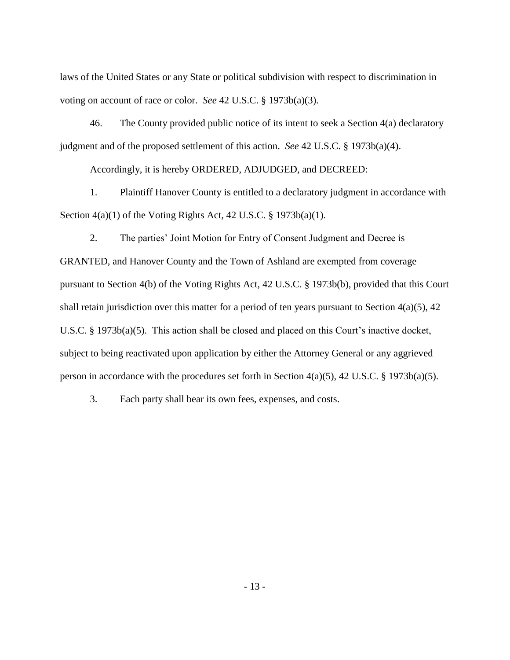laws of the United States or any State or political subdivision with respect to discrimination in voting on account of race or color. *See* 42 U.S.C. § 1973b(a)(3).

46. The County provided public notice of its intent to seek a Section 4(a) declaratory judgment and of the proposed settlement of this action. *See* 42 U.S.C. § 1973b(a)(4).

Accordingly, it is hereby ORDERED, ADJUDGED, and DECREED:

1. Plaintiff Hanover County is entitled to a declaratory judgment in accordance with Section  $4(a)(1)$  of the Voting Rights Act,  $42$  U.S.C. § 1973b(a)(1).

2. The parties' Joint Motion for Entry of Consent Judgment and Decree is GRANTED, and Hanover County and the Town of Ashland are exempted from coverage pursuant to Section 4(b) of the Voting Rights Act, 42 U.S.C. § 1973b(b), provided that this Court shall retain jurisdiction over this matter for a period of ten years pursuant to Section  $4(a)(5)$ ,  $42$ U.S.C. § 1973b(a)(5). This action shall be closed and placed on this Court's inactive docket, subject to being reactivated upon application by either the Attorney General or any aggrieved person in accordance with the procedures set forth in Section 4(a)(5), 42 U.S.C. § 1973b(a)(5).

3. Each party shall bear its own fees, expenses, and costs.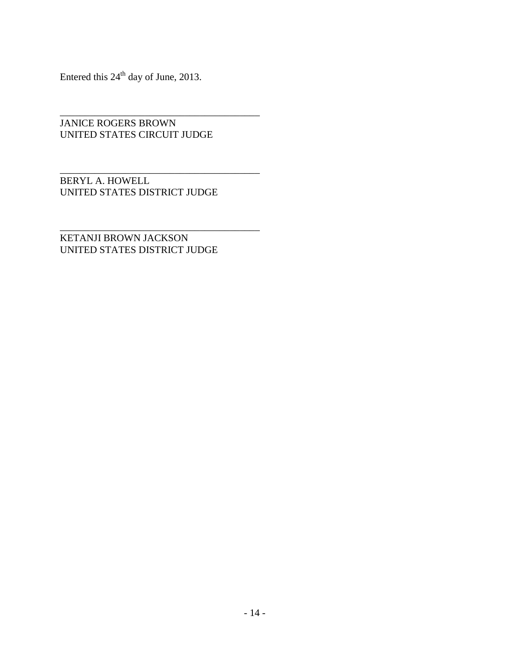Entered this  $24<sup>th</sup>$  day of June, 2013.

JANICE ROGERS BROWN UNITED STATES CIRCUIT JUDGE

\_\_\_\_\_\_\_\_\_\_\_\_\_\_\_\_\_\_\_\_\_\_\_\_\_\_\_\_\_\_\_\_\_\_\_\_\_\_\_\_

\_\_\_\_\_\_\_\_\_\_\_\_\_\_\_\_\_\_\_\_\_\_\_\_\_\_\_\_\_\_\_\_\_\_\_\_\_\_\_\_

BERYL A. HOWELL UNITED STATES DISTRICT JUDGE

\_\_\_\_\_\_\_\_\_\_\_\_\_\_\_\_\_\_\_\_\_\_\_\_\_\_\_\_\_\_\_\_\_\_\_\_\_\_\_\_ KETANJI BROWN JACKSON UNITED STATES DISTRICT JUDGE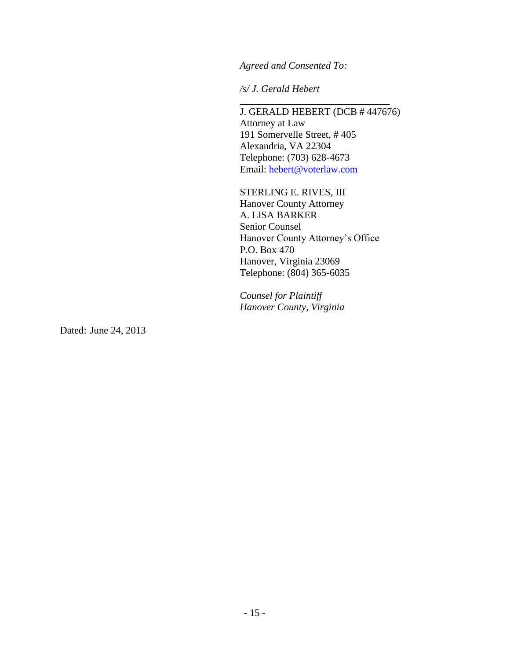*Agreed and Consented To:*

*/s/ J. Gerald Hebert*

J. GERALD HEBERT (DCB # 447676) Attorney at Law 191 Somervelle Street, # 405 Alexandria, VA 22304 Telephone: (703) 628-4673 Email: [hebert@voterlaw.com](mailto:hebert@voterlaw.com)

\_\_\_\_\_\_\_\_\_\_\_\_\_\_\_\_\_\_\_\_\_\_\_\_\_\_\_\_\_\_

STERLING E. RIVES, III Hanover County Attorney A. LISA BARKER Senior Counsel Hanover County Attorney's Office P.O. Box 470 Hanover, Virginia 23069 Telephone: (804) 365-6035

*Counsel for Plaintiff Hanover County, Virginia*

Dated: June 24, 2013